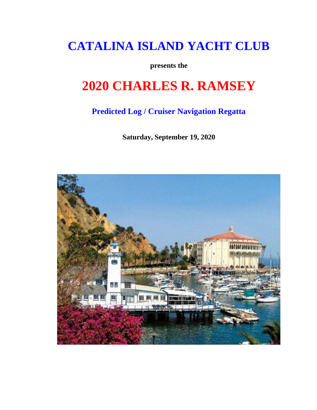## **CATALINA ISLAND YACHT CLUB**

**presents the**

# **2020 CHARLES R. RAMSEY**

### **Predicted Log / Cruiser Navigation Regatta**

**Saturday, September 19, 2020**

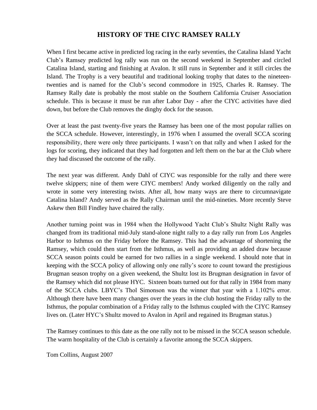### **HISTORY OF THE CIYC RAMSEY RALLY**

When I first became active in predicted log racing in the early seventies, the Catalina Island Yacht Club's Ramsey predicted log rally was run on the second weekend in September and circled Catalina Island, starting and finishing at Avalon. It still runs in September and it still circles the Island. The Trophy is a very beautiful and traditional looking trophy that dates to the nineteentwenties and is named for the Club's second commodore in 1925, Charles R. Ramsey. The Ramsey Rally date is probably the most stable on the Southern California Cruiser Association schedule. This is because it must be run after Labor Day - after the CIYC activities have died down, but before the Club removes the dinghy dock for the season.

Over at least the past twenty-five years the Ramsey has been one of the most popular rallies on the SCCA schedule. However, interestingly, in 1976 when I assumed the overall SCCA scoring responsibility, there were only three participants. I wasn't on that rally and when I asked for the logs for scoring, they indicated that they had forgotten and left them on the bar at the Club where they had discussed the outcome of the rally.

The next year was different. Andy Dahl of CIYC was responsible for the rally and there were twelve skippers; nine of them were CIYC members! Andy worked diligently on the rally and wrote in some very interesting twists. After all, how many ways are there to circumnavigate Catalina Island? Andy served as the Rally Chairman until the mid-nineties. More recently Steve Askew then Bill Findley have chaired the rally.

Another turning point was in 1984 when the Hollywood Yacht Club's Shultz Night Rally was changed from its traditional mid-July stand-alone night rally to a day rally run from Los Angeles Harbor to Isthmus on the Friday before the Ramsey. This had the advantage of shortening the Ramsey, which could then start from the Isthmus, as well as providing an added draw because SCCA season points could be earned for two rallies in a single weekend. I should note that in keeping with the SCCA policy of allowing only one rally's score to count toward the prestigious Brugman season trophy on a given weekend, the Shultz lost its Brugman designation in favor of the Ramsey which did not please HYC. Sixteen boats turned out for that rally in 1984 from many of the SCCA clubs. LBYC's Thol Simonson was the winner that year with a 1.102% error. Although there have been many changes over the years in the club hosting the Friday rally to the Isthmus, the popular combination of a Friday rally to the Isthmus coupled with the CIYC Ramsey lives on. (Later HYC's Shultz moved to Avalon in April and regained its Brugman status.)

The Ramsey continues to this date as the one rally not to be missed in the SCCA season schedule. The warm hospitality of the Club is certainly a favorite among the SCCA skippers.

Tom Collins, August 2007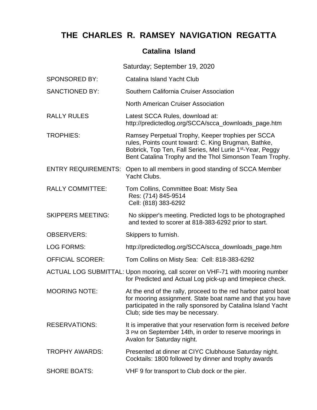### **THE CHARLES R. RAMSEY NAVIGATION REGATTA**

### **Catalina Island**

Saturday; September 19, 2020 SPONSORED BY: Catalina Island Yacht Club SANCTIONED BY: Southern California Cruiser Association North American Cruiser Association RALLY RULES Latest SCCA Rules, download at: http://predictedlog.org/SCCA/scca\_downloads\_page.htm TROPHIES: Ramsey Perpetual Trophy, Keeper trophies per SCCA rules, Points count toward: C. King Brugman, Bathke, Bobrick, Top Ten, Fall Series, Mel Lurie 1<sup>st</sup>-Year, Peggy Bent Catalina Trophy and the Thol Simonson Team Trophy. ENTRY REQUIREMENTS: Open to all members in good standing of SCCA Member Yacht Clubs. RALLY COMMITTEE: Tom Collins, Committee Boat: Misty Sea Res: (714) 845-9514 Cell: (818) 383-6292 SKIPPERS MEETING: No skipper's meeting. Predicted logs to be photographed and texted to scorer at 818-383-6292 prior to start. OBSERVERS: Skippers to furnish. LOG FORMS: http://predictedlog.org/SCCA/scca\_downloads\_page.htm OFFICIAL SCORER: Tom Collins on Misty Sea: Cell: 818-383-6292 ACTUAL LOG SUBMITTAL: Upon mooring, call scorer on VHF-71 with mooring number for Predicted and Actual Log pick-up and timepiece check. MOORING NOTE: At the end of the rally, proceed to the red harbor patrol boat for mooring assignment. State boat name and that you have participated in the rally sponsored by Catalina Island Yacht Club; side ties may be necessary. RESERVATIONS: It is imperative that your reservation form is received *before* 3 PM on September 14th, in order to reserve moorings in Avalon for Saturday night. TROPHY AWARDS: Presented at dinner at CIYC Clubhouse Saturday night. Cocktails: 1800 followed by dinner and trophy awards SHORE BOATS: VHF 9 for transport to Club dock or the pier.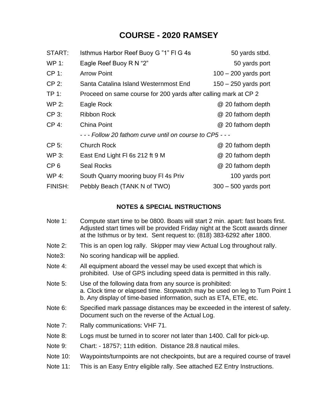### **COURSE - 2020 RAMSEY**

| START:          | Isthmus Harbor Reef Buoy G "1" FI G 4s                          | 50 yards stbd.         |
|-----------------|-----------------------------------------------------------------|------------------------|
| <b>WP 1:</b>    | Eagle Reef Buoy R N "2"                                         | 50 yards port          |
| $CP 1$ :        | <b>Arrow Point</b>                                              | $100 - 200$ yards port |
| CP 2:           | Santa Catalina Island Westernmost End                           | $150 - 250$ yards port |
| TP 1:           | Proceed on same course for 200 yards after calling mark at CP 2 |                        |
| <b>WP 2:</b>    | Eagle Rock                                                      | @ 20 fathom depth      |
| CP 3:           | <b>Ribbon Rock</b>                                              | @ 20 fathom depth      |
| CP 4:           | <b>China Point</b>                                              | @ 20 fathom depth      |
|                 | - - - Follow 20 fathom curve until on course to CP5 - - -       |                        |
| CP 5:           | <b>Church Rock</b>                                              | @ 20 fathom depth      |
| WP 3:           | East End Light FI 6s 212 ft 9 M                                 | @ 20 fathom depth      |
| CP <sub>6</sub> | <b>Seal Rocks</b>                                               | @ 20 fathom depth      |
| <b>WP 4:</b>    | South Quarry mooring buoy FI 4s Priv                            | 100 yards port         |
| FINISH:         | Pebbly Beach (TANK N of TWO)                                    | $300 - 500$ yards port |

#### **NOTES & SPECIAL INSTRUCTIONS**

- Note 1: Compute start time to be 0800. Boats will start 2 min. apart: fast boats first. Adjusted start times will be provided Friday night at the Scott awards dinner at the Isthmus or by text. Sent request to: (818) 383-6292 after 1800.
- Note 2: This is an open log rally. Skipper may view Actual Log throughout rally.
- Note3: No scoring handicap will be applied.
- Note 4: All equipment aboard the vessel may be used except that which is prohibited. Use of GPS including speed data is permitted in this rally.
- Note 5: Use of the following data from any source is prohibited: a. Clock time or elapsed time. Stopwatch may be used on leg to Turn Point 1 b. Any display of time-based information, such as ETA, ETE, etc.
- Note 6: Specified mark passage distances may be exceeded in the interest of safety. Document such on the reverse of the Actual Log.
- Note 7: Rally communications: VHF 71.
- Note 8: Logs must be turned in to scorer not later than 1400. Call for pick-up.
- Note 9: Chart: 18757; 11th edition. Distance 28.8 nautical miles.
- Note 10: Waypoints/turnpoints are not checkpoints, but are a required course of travel
- Note 11: This is an Easy Entry eligible rally. See attached EZ Entry Instructions.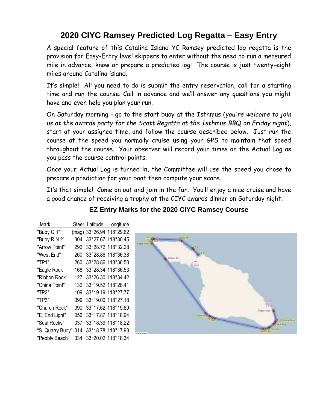## **2020 CIYC Ramsey Predicted Log Regatta – Easy Entry**

A special feature of this Catalina Island YC Ramsey predicted log regatta is the provision for Easy-Entry level skippers to enter without the need to run a measured mile in advance, know or prepare a predicted log! The course is just twenty-eight miles around Catalina island.

It's simple! All you need to do is submit the entry reservation, call for a starting time and run the course. Call in advance and we'll answer any questions you might have and even help you plan your run.

On Saturday morning - go to the start buoy at the Isthmus (*you're welcome to join us at the awards party for the Scott Regatta at the Isthmus BBQ on Friday night*), start at your assigned time, and follow the course described below. Just run the course at the speed you normally cruise using your GPS to maintain that speed throughout the course. Your observer will record your times on the Actual Log as you pass the course control points.

Once your Actual Log is turned in, the Committee will use the speed you chose to prepare a prediction for your boat then compute your score.

It's that simple! Come on out and join in the fun. You'll enjoy a nice cruise and have a good chance of receiving a trophy at the CIYC awards dinner on Saturday night.

| Mark             |     | Steer Latitude Longitude |
|------------------|-----|--------------------------|
| "Buoy G 1"       |     | (mag) 33°26.94 118°29.62 |
| "Buoy R N 2"     | 304 | 33°27.67 118°30.45       |
| "Arrow Point"    | 292 | 33°28.72 118°32.28       |
| "West End"       | 260 | 33°28.86 118°36.38       |
| "TP1"            | 260 | 33°28.86 118°36.50       |
| "Eagle Rock      | 168 | 33°28.34 118°36.53       |
| "Ribbon Rock"    | 127 | 33°26.30 118°34.42       |
| "China Point"    | 132 | 33°19.52 118°28.41       |
| "TP2"            | 109 | 33°19.19 118°27.77       |
| "TP3"            | 099 | 33°19.00 118°27.18       |
| "Church Rock"    | 090 | 33°17.62 118°19.69       |
| "E. End Light"   | 056 | 33°17.87 118°18.94       |
| "Seal Rocks"     | 037 | 33°18.39 118°18.22       |
| "S. Quarry Buoy" | 014 | 33°18.78 118°17.93       |
| "Pebbly Beach"   | 334 | 33°20.02 118°18.34       |

### **EZ Entry Marks for the 2020 CIYC Ramsey Course**

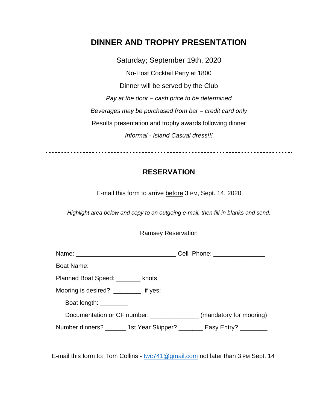### **DINNER AND TROPHY PRESENTATION**

Saturday; September 19th, 2020 No-Host Cocktail Party at 1800 Dinner will be served by the Club *Pay at the door – cash price to be determined Beverages may be purchased from bar – credit card only* Results presentation and trophy awards following dinner *Informal - Island Casual dress!!!*

### **RESERVATION**

E-mail this form to arrive before 3 PM, Sept. 14, 2020

*Highlight area below and copy to an outgoing e-mail, then fill-in blanks and send.*

| <b>Ramsey Reservation</b> |  |
|---------------------------|--|
|---------------------------|--|

|                                                                         | Cell Phone: ________________ |
|-------------------------------------------------------------------------|------------------------------|
|                                                                         |                              |
| Planned Boat Speed: ________ knots                                      |                              |
| Mooring is desired? ________, if yes:                                   |                              |
| Boat length: _________                                                  |                              |
| Documentation or CF number: ________________ (mandatory for mooring)    |                              |
| Number dinners? _______ 1st Year Skipper? ________ Easy Entry? ________ |                              |

E-mail this form to: Tom Collins - [twc741@gmail.com](mailto:twc741@gmail.com) not later than 3 PM Sept. 14